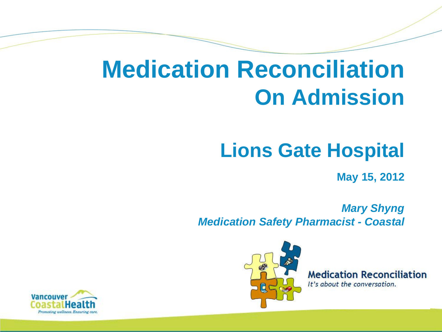### **Medication Reconciliation On Admission**

#### **Lions Gate Hospital**

**May 15, 2012** 

 *Mary Shyng Medication Safety Pharmacist - Coastal*



**Medication Reconciliation** It's about the conversation.

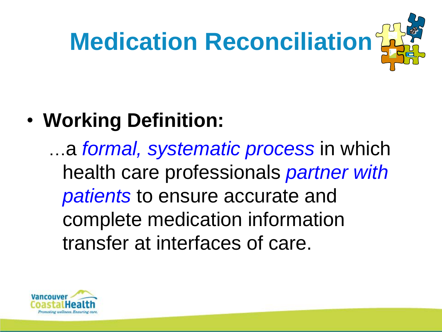

### • **Working Definition:**

…a *formal, systematic process* in which health care professionals *partner with patients* to ensure accurate and complete medication information transfer at interfaces of care.

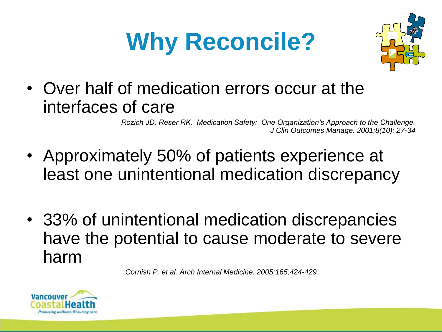# **Why Reconcile?**



• Over half of medication errors occur at the interfaces of care

> *Rozich JD, Reser RK. Medication Safety: One Organization's Approach to the Challenge. J Clin Outcomes Manage. 2001;8(10): 27-34*

- Approximately 50% of patients experience at least one unintentional medication discrepancy
- 33% of unintentional medication discrepancies have the potential to cause moderate to severe harm

*Cornish P. et al. Arch Internal Medicine. 2005;165;424-429*

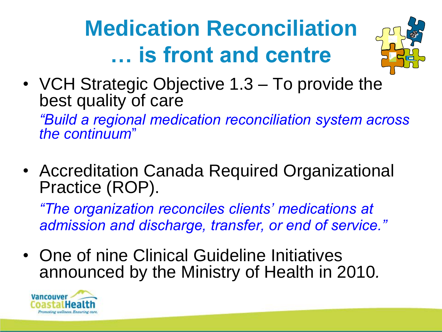# **Medication Reconciliation … is front and centre**



• VCH Strategic Objective 1.3 – To provide the best quality of care

 *"Build a regional medication reconciliation system across the continuum*"

• Accreditation Canada Required Organizational Practice (ROP).

*"The organization reconciles clients' medications at admission and discharge, transfer, or end of service."* 

• One of nine Clinical Guideline Initiatives announced by the Ministry of Health in 2010*.*

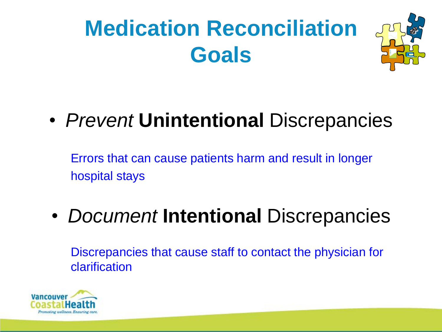# **Medication Reconciliation Goals**



### • *Prevent* **Unintentional** Discrepancies

Errors that can cause patients harm and result in longer hospital stays

### • *Document* **Intentional** Discrepancies

Discrepancies that cause staff to contact the physician for clarification

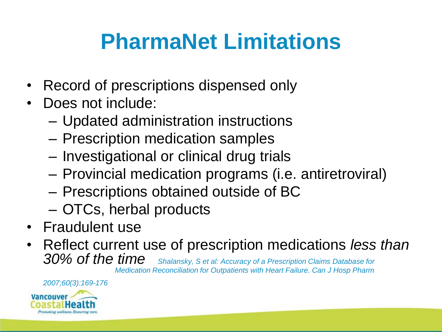### **PharmaNet Limitations**

- Record of prescriptions dispensed only
- Does not include:
	- Updated administration instructions
	- Prescription medication samples
	- Investigational or clinical drug trials
	- Provincial medication programs (i.e. antiretroviral)
	- Prescriptions obtained outside of BC
	- OTCs, herbal products
- Fraudulent use
- Reflect current use of prescription medications *less than 30% of the time Shalansky, S et al: Accuracy of a Prescription Claims Database for Medication Reconciliation for Outpatients with Heart Failure. Can J Hosp Pharm*

*2007;60(3):169-176* 

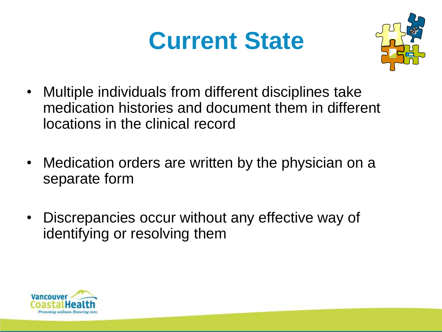## **Current State**



- Multiple individuals from different disciplines take medication histories and document them in different locations in the clinical record
- Medication orders are written by the physician on a separate form
- Discrepancies occur without any effective way of identifying or resolving them

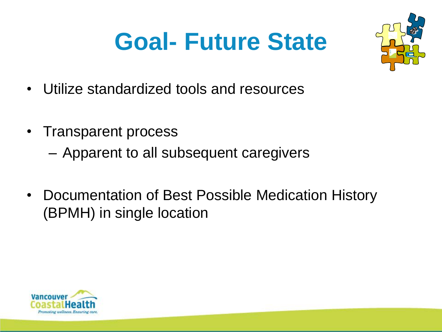# **Goal- Future State**



- Utilize standardized tools and resources
- Transparent process
	- Apparent to all subsequent caregivers
- Documentation of Best Possible Medication History (BPMH) in single location

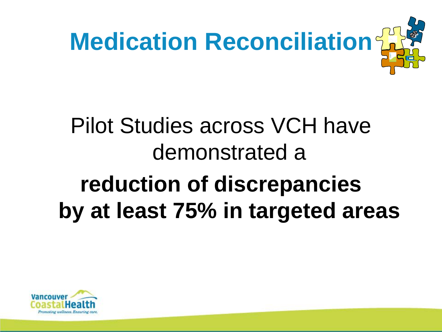

# Pilot Studies across VCH have demonstrated a **reduction of discrepancies by at least 75% in targeted areas**

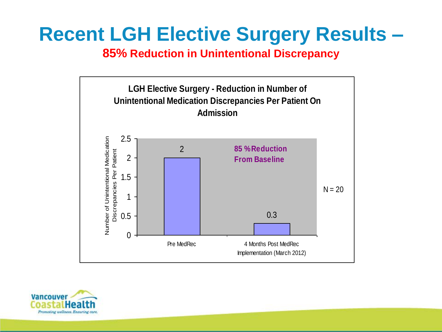#### **Recent LGH Elective Surgery Results –**

**85% Reduction in Unintentional Discrepancy**



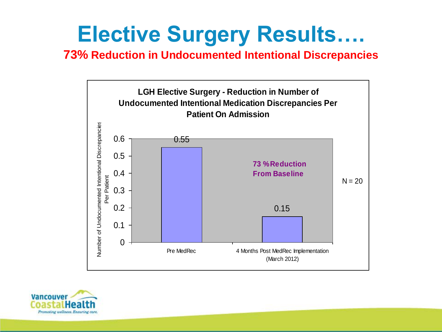### **Elective Surgery Results….**

**73% Reduction in Undocumented Intentional Discrepancies**



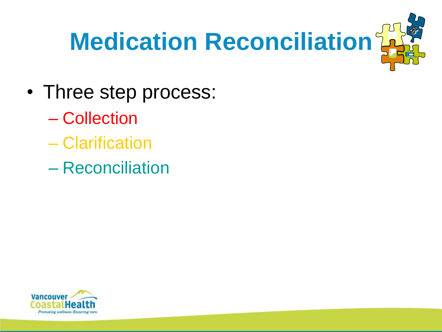

- Three step process:
	- Collection
	- Clarification
	- Reconciliation

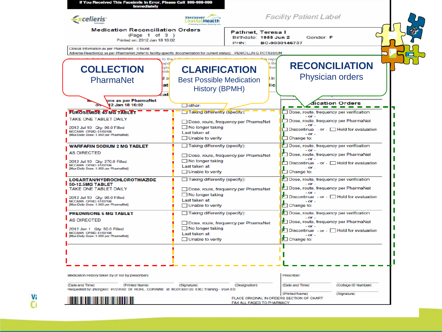| If You Received This Facsimile In Error, Please Call 999-999-999<br><b>Immediately</b>                                                                                                     |                                                                                                                                 |                                                    |              |                                                                                                                                                                                                   |  |
|--------------------------------------------------------------------------------------------------------------------------------------------------------------------------------------------|---------------------------------------------------------------------------------------------------------------------------------|----------------------------------------------------|--------------|---------------------------------------------------------------------------------------------------------------------------------------------------------------------------------------------------|--|
| <i><u>xcelleris</u></i>                                                                                                                                                                    | <b>Vancouver</b><br><b>CoastalHealth</b>                                                                                        |                                                    |              | <b>Facility Patient Label</b>                                                                                                                                                                     |  |
| <b>Medication Reconciliation Orders</b><br>(Page 1 of 3)<br>Printed on: 2012 Jan 18 16:02                                                                                                  |                                                                                                                                 | Pathnet, Teresa I<br>Birthdate: 1955 Jun 2<br>PHN: |              | Gender: F<br>BC-9030146737                                                                                                                                                                        |  |
| Clinical Information as per PharmaNet: 0 found.<br>Adverse Reaction(s) as per PharmaNet (refer to facility-specific documentation for current status): PENICILLIN G POTASSIUM              |                                                                                                                                 |                                                    |              |                                                                                                                                                                                                   |  |
| upd<br><b>COLLECTION</b><br>nple<br>side                                                                                                                                                   | <b>CLARIFICATION</b>                                                                                                            |                                                    | ı th<br>tion | <b>RECONCILIATION</b>                                                                                                                                                                             |  |
| d o<br>PharmaNet<br>at<br>эt                                                                                                                                                               | <b>Best Possible Medication</b><br><b>History (BPMH)</b>                                                                        |                                                    | t in<br>lic  | <b>Physician orders</b>                                                                                                                                                                           |  |
| ons as per PharmaNet<br>12 Jan 18 16:02                                                                                                                                                    | $\Box$ other:                                                                                                                   |                                                    |              | ication Orders                                                                                                                                                                                    |  |
| <b>FUROSEMIDE 40 MG TABLET</b><br>TAKE ONE TABLET DAILY<br>2012 Jul 10 Qty: 90.0 Filled<br>MCCANN CPSID: 01/02108<br>[Max Daily Dose: 1.000 per PharmaNet]                                 | Taking differently (specify):<br>$\Box$ No longer taking<br>Last taken at:<br>$\Box$ Unable to verify                           | Dose, route, frequency per PharmaNet               |              | Dose, route, frequency per verification<br>$-$ or $-$<br>Dose, route, frequency per PharmaNet<br>$-$ Or $-$<br>Discontinuo - or - Hold for evaluation<br>$-$ or $-$<br>Change to:                 |  |
| <b>WARFARIN SODIUM 2 MG TABLET</b><br><b>AS DIRECTED</b><br>2012 Jul 10    Qty: 270.0 Filled<br>MCCANN CPSID: 91/02198<br>[Max Daily Dose: 1.000 per PharmaNet]                            | Taking differently (specify):<br>$\Box$ No longer taking<br>Last taken at:<br>$\Box$ Unable to verify                           | Dose, route, frequency per PharmaNet               |              | Dose, route, frequency per verification<br>$-$ or $-$<br>Dose, route, frequency per PharmaNet<br>$-OT -$<br>$\Box$ Discontinue - or $\Box$ Hold for evaluation<br>$-$ OF $-$<br>$\Box$ Change to: |  |
| <b>LOSARTAN/HYDROCHLOROTHIAZIDE</b><br><b>50-12.5MG TABLET</b><br>TAKE ONE TABLET DAILY<br>2012 Jul 10 Oty: 90.0 Filled<br>MCCANN CPSID: 91/02198<br>[Max Daily Dose: 1.000 per PharmaNet] | Taking differently (specify):<br>Dose, route, frequency per PharmaNet<br>No longer taking<br>Last taken at:<br>Unable to verify |                                                    |              | Dose, route, frequency per verification<br>$-$ OF<br>Dose, route, frequency per PharmaNet<br>- OF<br>□ Discontinue - or - □ Hold for evaluation<br>$-$ OF $\cdot$<br>Change to:                   |  |
| <b>PREDNISONE 5 MG TABLET</b><br><b>AS DIRECTED</b><br>2012 Jun 1 Qtv: 50.0 Filled<br>MCCANN CPSID: 91/02198<br>[Max Daily Dose: 1.000 per PharmaNet]                                      | Taking differently (specify):<br>No longer taking<br>Last taken at:<br>$\Box$ Unable to verify                                  | Dose, route, frequency per PharmaNet               |              | Dose, route, frequency per verification<br>$-$ or $-$<br>Dose, route, frequency per PharmaNet<br>$-$ or $-$<br>Discontinue - or - Hold for evaluation<br>$-$ OF $-$<br>$\Box$ Change to:          |  |
|                                                                                                                                                                                            |                                                                                                                                 |                                                    |              |                                                                                                                                                                                                   |  |
| Medication History taken by (if not by prescriber):                                                                                                                                        |                                                                                                                                 |                                                    |              | <b>Prescriber-</b>                                                                                                                                                                                |  |
| (Signature)<br>(Designation)<br>(Date and Time)<br>(Printed Name)<br>Requested by: jmorgan3_91/23182_Dr. HOHL, CORINNE_at_BC01300120_EXC_Training - VGH_ED                                 |                                                                                                                                 |                                                    |              | (Date and Time)<br>(College ID Number)<br>(Printed Name)<br>(Signature)                                                                                                                           |  |
|                                                                                                                                                                                            |                                                                                                                                 | FAX ALL PAGES TO PHARMACY                          |              | PLACE ORIGINAL IN ORDERS SECTION OF CHART                                                                                                                                                         |  |

vi<br>Ci